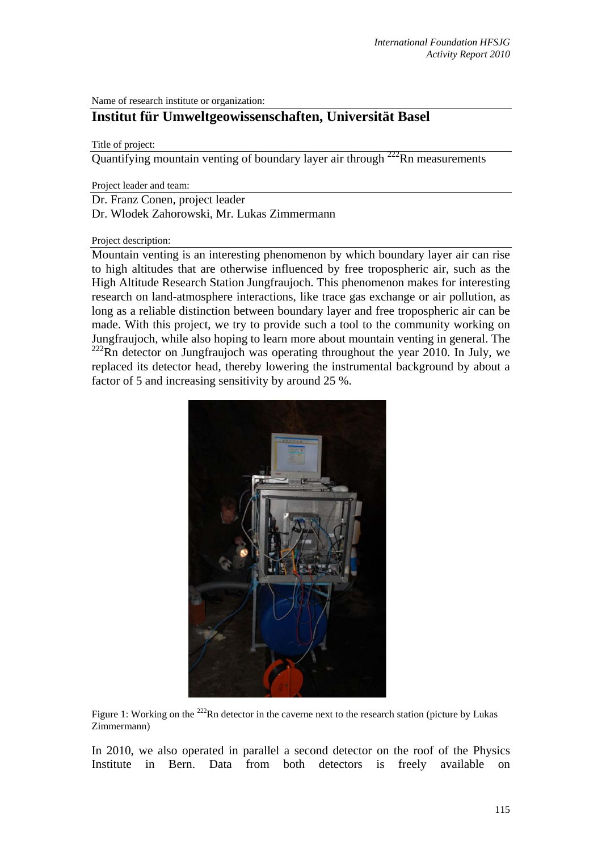Name of research institute or organization:

## **Institut für Umweltgeowissenschaften, Universität Basel**

Title of project:

Quantifying mountain venting of boundary layer air through  $^{222}$ Rn measurements

Project leader and team:

Dr. Franz Conen, project leader

Dr. Wlodek Zahorowski, Mr. Lukas Zimmermann

Project description:

Mountain venting is an interesting phenomenon by which boundary layer air can rise to high altitudes that are otherwise influenced by free tropospheric air, such as the High Altitude Research Station Jungfraujoch. This phenomenon makes for interesting research on land-atmosphere interactions, like trace gas exchange or air pollution, as long as a reliable distinction between boundary layer and free tropospheric air can be made. With this project, we try to provide such a tool to the community working on Jungfraujoch, while also hoping to learn more about mountain venting in general. The  $222$ Rn detector on Jungfraujoch was operating throughout the year 2010. In July, we replaced its detector head, thereby lowering the instrumental background by about a factor of 5 and increasing sensitivity by around 25 %.



Figure 1: Working on the <sup>222</sup>Rn detector in the caverne next to the research station (picture by Lukas Zimmermann)

In 2010, we also operated in parallel a second detector on the roof of the Physics Institute in Bern. Data from both detectors is freely available on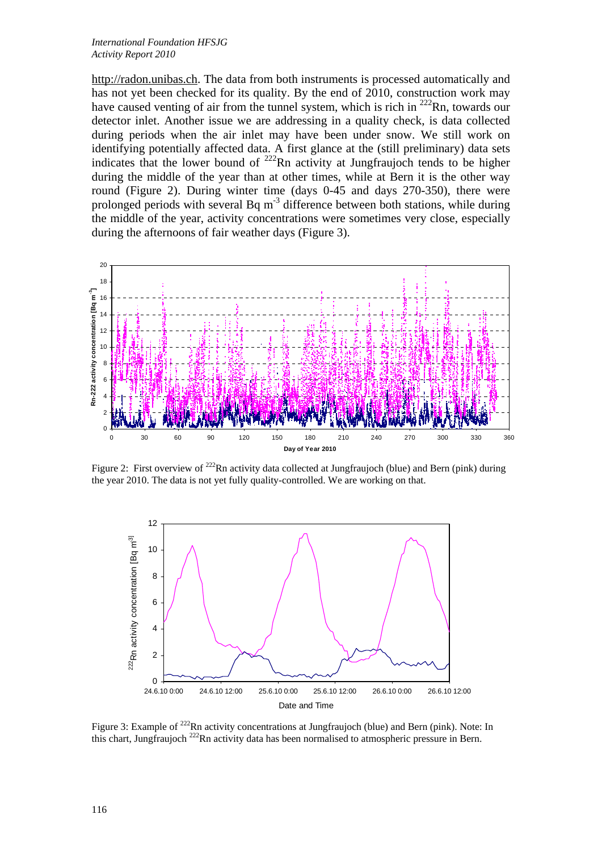http://radon.unibas.ch. The data from both instruments is processed automatically and has not yet been checked for its quality. By the end of 2010, construction work may have caused venting of air from the tunnel system, which is rich in  $^{222}$ Rn, towards our detector inlet. Another issue we are addressing in a quality check, is data collected during periods when the air inlet may have been under snow. We still work on identifying potentially affected data. A first glance at the (still preliminary) data sets indicates that the lower bound of  $^{222}$ Rn activity at Jungfraujoch tends to be higher during the middle of the year than at other times, while at Bern it is the other way round (Figure 2). During winter time (days 0-45 and days 270-350), there were prolonged periods with several Bq m-3 difference between both stations, while during the middle of the year, activity concentrations were sometimes very close, especially during the afternoons of fair weather days (Figure 3).



Figure 2: First overview of <sup>222</sup>Rn activity data collected at Jungfraujoch (blue) and Bern (pink) during the year 2010. The data is not yet fully quality-controlled. We are working on that.



Figure 3: Example of <sup>222</sup>Rn activity concentrations at Jungfraujoch (blue) and Bern (pink). Note: In this chart, Jungfraujoch <sup>222</sup>Rn activity data has been normalised to atmospheric pressure in Bern.